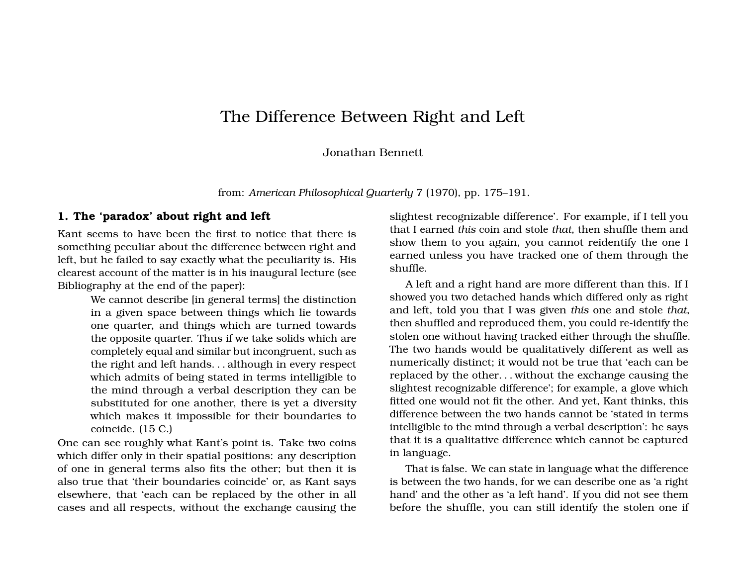# The Difference Between Right and Left

Jonathan Bennett

from: *American Philosophical Quarterly* 7 (1970), pp. 175–191.

## **1. The 'paradox' about right and left**

Kant seems to have been the first to notice that there is something peculiar about the difference between right and left, but he failed to say exactly what the peculiarity is. His clearest account of the matter is in his inaugural lecture (see Bibliography at the end of the paper):

> We cannot describe [in general terms] the distinction in a given space between things which lie towards one quarter, and things which are turned towards the opposite quarter. Thus if we take solids which are completely equal and similar but incongruent, such as the right and left hands. . . although in every respect which admits of being stated in terms intelligible to the mind through a verbal description they can be substituted for one another, there is yet a diversity which makes it impossible for their boundaries to coincide. (15 C.)

One can see roughly what Kant's point is. Take two coins which differ only in their spatial positions: any description of one in general terms also fits the other; but then it is also true that 'their boundaries coincide' or, as Kant says elsewhere, that 'each can be replaced by the other in all cases and all respects, without the exchange causing the

slightest recognizable difference'. For example, if I tell you that I earned *this* coin and stole *that*, then shuffle them and show them to you again, you cannot reidentify the one I earned unless you have tracked one of them through the shuffle.

A left and a right hand are more different than this. If I showed you two detached hands which differed only as right and left, told you that I was given *this* one and stole *that*, then shuffled and reproduced them, you could re-identify the stolen one without having tracked either through the shuffle. The two hands would be qualitatively different as well as numerically distinct; it would not be true that 'each can be replaced by the other. . . without the exchange causing the slightest recognizable difference'; for example, a glove which fitted one would not fit the other. And yet, Kant thinks, this difference between the two hands cannot be 'stated in terms intelligible to the mind through a verbal description': he says that it is a qualitative difference which cannot be captured in language.

That is false. We can state in language what the difference is between the two hands, for we can describe one as 'a right hand' and the other as 'a left hand'. If you did not see them before the shuffle, you can still identify the stolen one if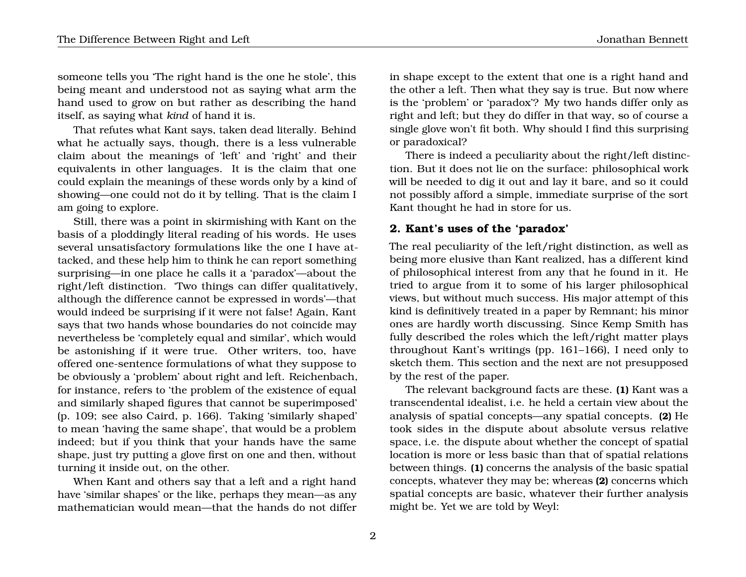someone tells you 'The right hand is the one he stole', this being meant and understood not as saying what arm the hand used to grow on but rather as describing the hand itself, as saying what *kind* of hand it is.

That refutes what Kant says, taken dead literally. Behind what he actually says, though, there is a less vulnerable claim about the meanings of 'left' and 'right' and their equivalents in other languages. It is the claim that one could explain the meanings of these words only by a kind of showing—one could not do it by telling. That is the claim I am going to explore.

Still, there was a point in skirmishing with Kant on the basis of a ploddingly literal reading of his words. He uses several unsatisfactory formulations like the one I have attacked, and these help him to think he can report something surprising—in one place he calls it a 'paradox'—about the right/left distinction. 'Two things can differ qualitatively, although the difference cannot be expressed in words'—that would indeed be surprising if it were not false! Again, Kant says that two hands whose boundaries do not coincide may nevertheless be 'completely equal and similar', which would be astonishing if it were true. Other writers, too, have offered one-sentence formulations of what they suppose to be obviously a 'problem' about right and left. Reichenbach, for instance, refers to 'the problem of the existence of equal and similarly shaped figures that cannot be superimposed' (p. 109; see also Caird, p. 166). Taking 'similarly shaped' to mean 'having the same shape', that would be a problem indeed; but if you think that your hands have the same shape, just try putting a glove first on one and then, without turning it inside out, on the other.

When Kant and others say that a left and a right hand have 'similar shapes' or the like, perhaps they mean—as any mathematician would mean—that the hands do not differ in shape except to the extent that one is a right hand and the other a left. Then what they say is true. But now where is the 'problem' or 'paradox'? My two hands differ only as right and left; but they do differ in that way, so of course a single glove won't fit both. Why should I find this surprising or paradoxical?

There is indeed a peculiarity about the right/left distinction. But it does not lie on the surface: philosophical work will be needed to dig it out and lay it bare, and so it could not possibly afford a simple, immediate surprise of the sort Kant thought he had in store for us.

## **2. Kant's uses of the 'paradox'**

The real peculiarity of the left/right distinction, as well as being more elusive than Kant realized, has a different kind of philosophical interest from any that he found in it. He tried to argue from it to some of his larger philosophical views, but without much success. His major attempt of this kind is definitively treated in a paper by Remnant; his minor ones are hardly worth discussing. Since Kemp Smith has fully described the roles which the left/right matter plays throughout Kant's writings (pp. 161–166), I need only to sketch them. This section and the next are not presupposed by the rest of the paper.

The relevant background facts are these. **(1)** Kant was a transcendental idealist, i.e. he held a certain view about the analysis of spatial concepts—any spatial concepts. **(2)** He took sides in the dispute about absolute versus relative space, i.e. the dispute about whether the concept of spatial location is more or less basic than that of spatial relations between things. **(1)** concerns the analysis of the basic spatial concepts, whatever they may be; whereas **(2)** concerns which spatial concepts are basic, whatever their further analysis might be. Yet we are told by Weyl: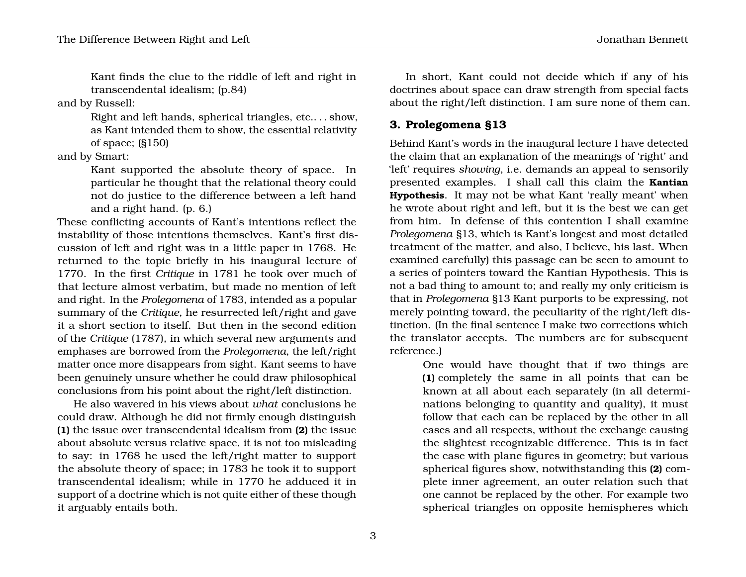Kant finds the clue to the riddle of left and right in transcendental idealism; (p.84)

and by Russell:

Right and left hands, spherical triangles, etc.. . . show, as Kant intended them to show, the essential relativity of space; (§150)

and by Smart:

Kant supported the absolute theory of space. In particular he thought that the relational theory could not do justice to the difference between a left hand and a right hand. (p. 6.)

These conflicting accounts of Kant's intentions reflect the instability of those intentions themselves. Kant's first discussion of left and right was in a little paper in 1768. He returned to the topic briefly in his inaugural lecture of 1770. In the first *Critique* in 1781 he took over much of that lecture almost verbatim, but made no mention of left and right. In the *Prolegomena* of 1783, intended as a popular summary of the *Critique*, he resurrected left/right and gave it a short section to itself. But then in the second edition of the *Critique* (1787), in which several new arguments and emphases are borrowed from the *Prolegomena*, the left/right matter once more disappears from sight. Kant seems to have been genuinely unsure whether he could draw philosophical conclusions from his point about the right/left distinction.

He also wavered in his views about *what* conclusions he could draw. Although he did not firmly enough distinguish **(1)** the issue over transcendental idealism from **(2)** the issue about absolute versus relative space, it is not too misleading to say: in 1768 he used the left/right matter to support the absolute theory of space; in 1783 he took it to support transcendental idealism; while in 1770 he adduced it in support of a doctrine which is not quite either of these though it arguably entails both.

In short, Kant could not decide which if any of his doctrines about space can draw strength from special facts about the right/left distinction. I am sure none of them can.

## **3. Prolegomena §13**

Behind Kant's words in the inaugural lecture I have detected the claim that an explanation of the meanings of 'right' and 'left' requires *showing*, i.e. demands an appeal to sensorily presented examples. I shall call this claim the **Kantian Hypothesis**. It may not be what Kant 'really meant' when he wrote about right and left, but it is the best we can get from him. In defense of this contention I shall examine *Prolegomena* §13, which is Kant's longest and most detailed treatment of the matter, and also, I believe, his last. When examined carefully) this passage can be seen to amount to a series of pointers toward the Kantian Hypothesis. This is not a bad thing to amount to; and really my only criticism is that in *Prolegomena* §13 Kant purports to be expressing, not merely pointing toward, the peculiarity of the right/left distinction. (In the final sentence I make two corrections which the translator accepts. The numbers are for subsequent reference.)

> One would have thought that if two things are **(1)** completely the same in all points that can be known at all about each separately (in all determinations belonging to quantity and quality), it must follow that each can be replaced by the other in all cases and all respects, without the exchange causing the slightest recognizable difference. This is in fact the case with plane figures in geometry; but various spherical figures show, notwithstanding this **(2)** complete inner agreement, an outer relation such that one cannot be replaced by the other. For example two spherical triangles on opposite hemispheres which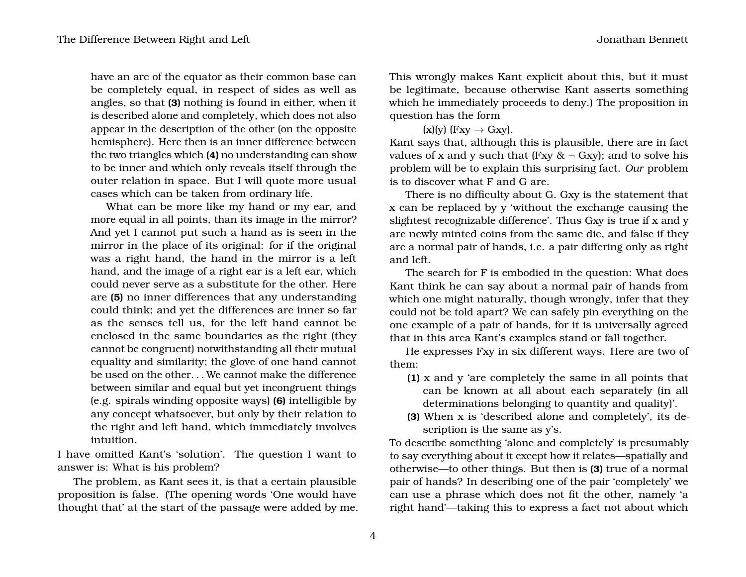have an arc of the equator as their common base can be completely equal, in respect of sides as well as angles, so that **(3)** nothing is found in either, when it is described alone and completely, which does not also appear in the description of the other (on the opposite hemisphere). Here then is an inner difference between the two triangles which **(4)** no understanding can show to be inner and which only reveals itself through the outer relation in space. But I will quote more usual cases which can be taken from ordinary life.

What can be more like my hand or my ear, and more equal in all points, than its image in the mirror? And yet I cannot put such a hand as is seen in the mirror in the place of its original: for if the original was a right hand, the hand in the mirror is a left hand, and the image of a right ear is a left ear, which could never serve as a substitute for the other. Here are **(5)** no inner differences that any understanding could think; and yet the differences are inner so far as the senses tell us, for the left hand cannot be enclosed in the same boundaries as the right (they cannot be congruent) notwithstanding all their mutual equality and similarity; the glove of one hand cannot be used on the other. . . We cannot make the difference between similar and equal but yet incongruent things (e.g. spirals winding opposite ways) **(6)** intelligible by any concept whatsoever, but only by their relation to the right and left hand, which immediately involves intuition.

I have omitted Kant's 'solution'. The question I want to answer is: What is his problem?

The problem, as Kant sees it, is that a certain plausible proposition is false. (The opening words 'One would have thought that' at the start of the passage were added by me.

This wrongly makes Kant explicit about this, but it must be legitimate, because otherwise Kant asserts something which he immediately proceeds to deny.) The proposition in question has the form

 $(x)(y)$  (Fxy  $\rightarrow$  Gxy).

Kant says that, although this is plausible, there are in fact values of x and y such that (Fxy  $\& \neg$  Gxy); and to solve his problem will be to explain this surprising fact. *Our* problem is to discover what F and G are.

There is no difficulty about G. Gxy is the statement that x can be replaced by y 'without the exchange causing the slightest recognizable difference'. Thus Gxy is true if x and y are newly minted coins from the same die, and false if they are a normal pair of hands, i.e. a pair differing only as right and left.

The search for F is embodied in the question: What does Kant think he can say about a normal pair of hands from which one might naturally, though wrongly, infer that they could not be told apart? We can safely pin everything on the one example of a pair of hands, for it is universally agreed that in this area Kant's examples stand or fall together.

He expresses Fxy in six different ways. Here are two of them:

- **(1)** x and y 'are completely the same in all points that can be known at all about each separately (in all determinations belonging to quantity and quality)'.
- **(3)** When x is 'described alone and completely', its description is the same as y's.

To describe something 'alone and completely' is presumably to say everything about it except how it relates—spatially and otherwise—to other things. But then is **(3)** true of a normal pair of hands? In describing one of the pair 'completely' we can use a phrase which does not fit the other, namely 'a right hand'—taking this to express a fact not about which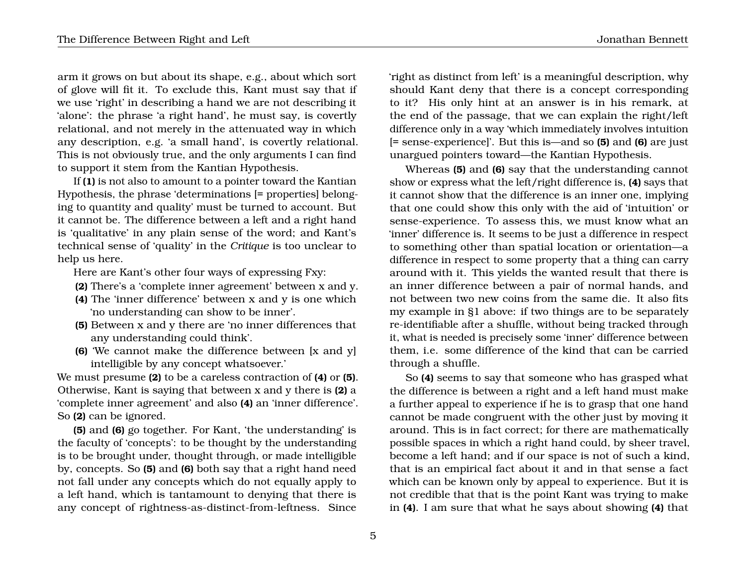arm it grows on but about its shape, e.g., about which sort of glove will fit it. To exclude this, Kant must say that if we use 'right' in describing a hand we are not describing it 'alone': the phrase 'a right hand', he must say, is covertly relational, and not merely in the attenuated way in which any description, e.g. 'a small hand', is covertly relational. This is not obviously true, and the only arguments I can find to support it stem from the Kantian Hypothesis.

If **(1)** is not also to amount to a pointer toward the Kantian Hypothesis, the phrase 'determinations [= properties] belonging to quantity and quality' must be turned to account. But it cannot be. The difference between a left and a right hand is 'qualitative' in any plain sense of the word; and Kant's technical sense of 'quality' in the *Critique* is too unclear to help us here.

Here are Kant's other four ways of expressing Fxy:

- **(2)** There's a 'complete inner agreement' between x and y.
- **(4)** The 'inner difference' between x and y is one which 'no understanding can show to be inner'.
- **(5)** Between x and y there are 'no inner differences that any understanding could think'.
- **(6)** 'We cannot make the difference between [x and y] intelligible by any concept whatsoever.'

We must presume **(2)** to be a careless contraction of **(4)** or **(5)**. Otherwise, Kant is saying that between x and y there is **(2)** a 'complete inner agreement' and also **(4)** an 'inner difference'. So **(2)** can be ignored.

**(5)** and **(6)** go together. For Kant, 'the understanding' is the faculty of 'concepts': to be thought by the understanding is to be brought under, thought through, or made intelligible by, concepts. So **(5)** and **(6)** both say that a right hand need not fall under any concepts which do not equally apply to a left hand, which is tantamount to denying that there is any concept of rightness-as-distinct-from-leftness. Since

'right as distinct from left' is a meaningful description, why should Kant deny that there is a concept corresponding to it? His only hint at an answer is in his remark, at the end of the passage, that we can explain the right/left difference only in a way 'which immediately involves intuition [= sense-experience]'. But this is—and so **(5)** and **(6)** are just unargued pointers toward—the Kantian Hypothesis.

Whereas **(5)** and **(6)** say that the understanding cannot show or express what the left/right difference is, **(4)** says that it cannot show that the difference is an inner one, implying that one could show this only with the aid of 'intuition' or sense-experience. To assess this, we must know what an 'inner' difference is. It seems to be just a difference in respect to something other than spatial location or orientation—a difference in respect to some property that a thing can carry around with it. This yields the wanted result that there is an inner difference between a pair of normal hands, and not between two new coins from the same die. It also fits my example in §1 above: if two things are to be separately re-identifiable after a shuffle, without being tracked through it, what is needed is precisely some 'inner' difference between them, i.e. some difference of the kind that can be carried through a shuffle.

So **(4)** seems to say that someone who has grasped what the difference is between a right and a left hand must make a further appeal to experience if he is to grasp that one hand cannot be made congruent with the other just by moving it around. This is in fact correct; for there are mathematically possible spaces in which a right hand could, by sheer travel, become a left hand; and if our space is not of such a kind, that is an empirical fact about it and in that sense a fact which can be known only by appeal to experience. But it is not credible that that is the point Kant was trying to make in **(4)**. I am sure that what he says about showing **(4)** that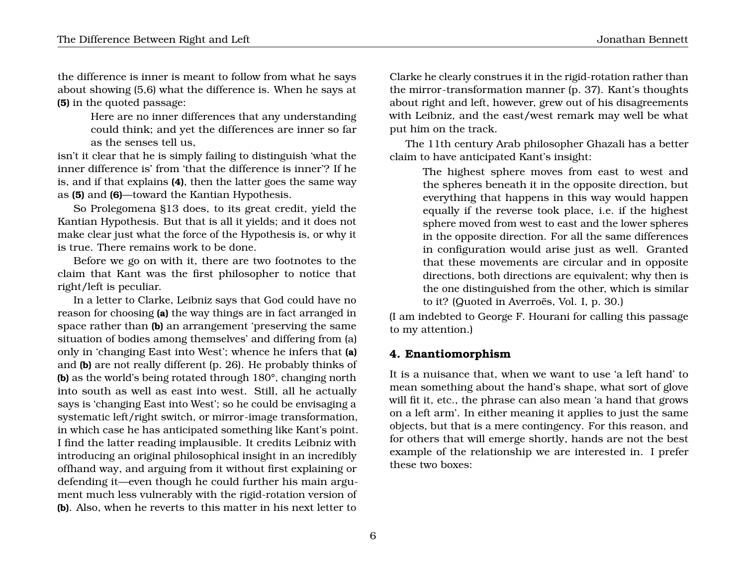the difference is inner is meant to follow from what he says about showing (5,6) what the difference is. When he says at **(5)** in the quoted passage:

> Here are no inner differences that any understanding could think; and yet the differences are inner so far as the senses tell us,

isn't it clear that he is simply failing to distinguish 'what the inner difference is' from 'that the difference is inner'? If he is, and if that explains **(4)**, then the latter goes the same way as **(5)** and **(6)**—toward the Kantian Hypothesis.

So Prolegomena §13 does, to its great credit, yield the Kantian Hypothesis. But that is all it yields; and it does not make clear just what the force of the Hypothesis is, or why it is true. There remains work to be done.

Before we go on with it, there are two footnotes to the claim that Kant was the first philosopher to notice that right/left is peculiar.

In a letter to Clarke, Leibniz says that God could have no reason for choosing **(a)** the way things are in fact arranged in space rather than **(b)** an arrangement 'preserving the same situation of bodies among themselves' and differing from (a) only in 'changing East into West'; whence he infers that **(a)** and **(b)** are not really different (p. 26). He probably thinks of **(b)** as the world's being rotated through 180°, changing north into south as well as east into west. Still, all he actually says is 'changing East into West'; so he could be envisaging a systematic left/right switch, or mirror-image transformation, in which case he has anticipated something like Kant's point. I find the latter reading implausible. It credits Leibniz with introducing an original philosophical insight in an incredibly offhand way, and arguing from it without first explaining or defending it—even though he could further his main argument much less vulnerably with the rigid-rotation version of **(b)**. Also, when he reverts to this matter in his next letter to

Clarke he clearly construes it in the rigid-rotation rather than the mirror-transformation manner (p. 37). Kant's thoughts about right and left, however, grew out of his disagreements with Leibniz, and the east/west remark may well be what put him on the track.

The 11th century Arab philosopher Ghazali has a better claim to have anticipated Kant's insight:

The highest sphere moves from east to west and the spheres beneath it in the opposite direction, but everything that happens in this way would happen equally if the reverse took place, i.e. if the highest sphere moved from west to east and the lower spheres in the opposite direction. For all the same differences in configuration would arise just as well. Granted that these movements are circular and in opposite directions, both directions are equivalent; why then is the one distinguished from the other, which is similar to it? (Quoted in Averroës, Vol. I, p. 30.)

(I am indebted to George F. Hourani for calling this passage to my attention.)

#### **4. Enantiomorphism**

It is a nuisance that, when we want to use 'a left hand' to mean something about the hand's shape, what sort of glove will fit it, etc., the phrase can also mean 'a hand that grows on a left arm'. In either meaning it applies to just the same objects, but that is a mere contingency. For this reason, and for others that will emerge shortly, hands are not the best example of the relationship we are interested in. I prefer these two boxes: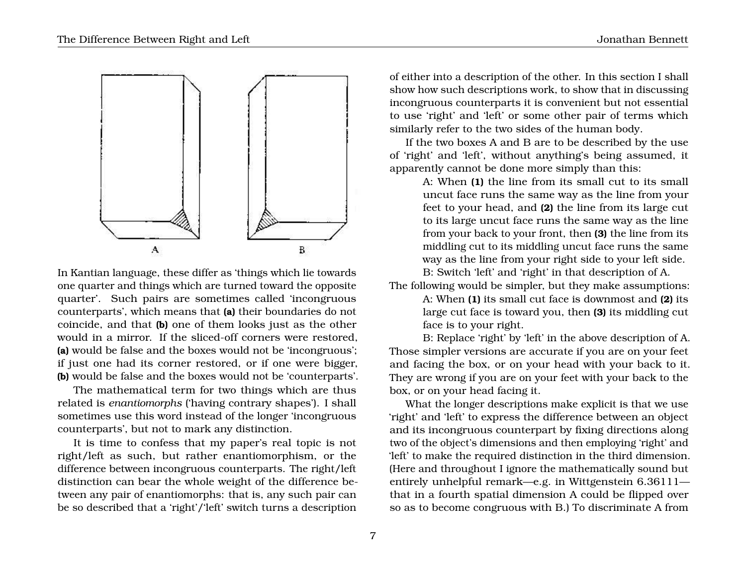

In Kantian language, these differ as 'things which lie towards one quarter and things which are turned toward the opposite quarter'. Such pairs are sometimes called 'incongruous counterparts', which means that **(a)** their boundaries do not coincide, and that **(b)** one of them looks just as the other would in a mirror. If the sliced-off corners were restored, **(a)** would be false and the boxes would not be 'incongruous'; if just one had its corner restored, or if one were bigger, **(b)** would be false and the boxes would not be 'counterparts'.

The mathematical term for two things which are thus related is *enantiomorphs* ('having contrary shapes'). I shall sometimes use this word instead of the longer 'incongruous counterparts', but not to mark any distinction.

It is time to confess that my paper's real topic is not right/left as such, but rather enantiomorphism, or the difference between incongruous counterparts. The right/left distinction can bear the whole weight of the difference between any pair of enantiomorphs: that is, any such pair can be so described that a 'right'/'left' switch turns a description

of either into a description of the other. In this section I shall show how such descriptions work, to show that in discussing incongruous counterparts it is convenient but not essential to use 'right' and 'left' or some other pair of terms which similarly refer to the two sides of the human body.

If the two boxes A and B are to be described by the use of 'right' and 'left', without anything's being assumed, it apparently cannot be done more simply than this:

A: When **(1)** the line from its small cut to its small uncut face runs the same way as the line from your feet to your head, and **(2)** the line from its large cut to its large uncut face runs the same way as the line from your back to your front, then **(3)** the line from its middling cut to its middling uncut face runs the same way as the line from your right side to your left side. B: Switch 'left' and 'right' in that description of A.

The following would be simpler, but they make assumptions:

A: When **(1)** its small cut face is downmost and **(2)** its large cut face is toward you, then **(3)** its middling cut face is to your right.

B: Replace 'right' by 'left' in the above description of A. Those simpler versions are accurate if you are on your feet and facing the box, or on your head with your back to it. They are wrong if you are on your feet with your back to the box, or on your head facing it.

What the longer descriptions make explicit is that we use 'right' and 'left' to express the difference between an object and its incongruous counterpart by fixing directions along two of the object's dimensions and then employing 'right' and 'left' to make the required distinction in the third dimension. (Here and throughout I ignore the mathematically sound but entirely unhelpful remark—e.g. in Wittgenstein 6.36111 that in a fourth spatial dimension A could be flipped over so as to become congruous with B.) To discriminate A from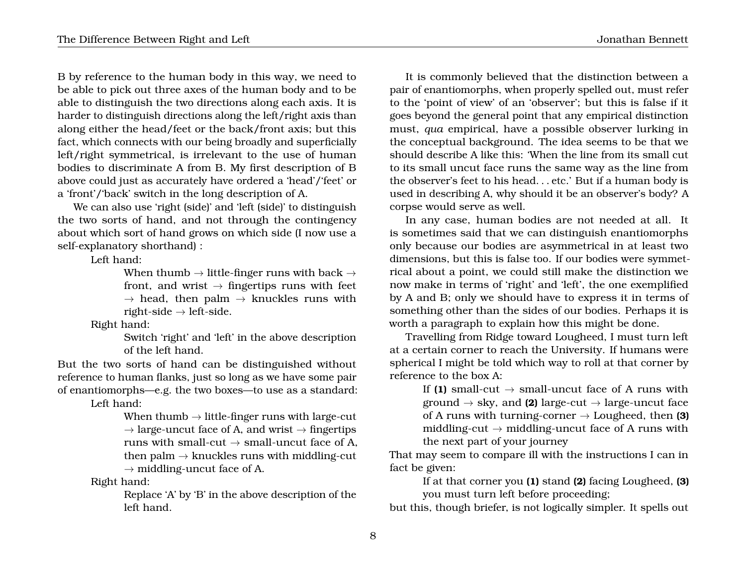B by reference to the human body in this way, we need to be able to pick out three axes of the human body and to be able to distinguish the two directions along each axis. It is harder to distinguish directions along the left/right axis than along either the head/feet or the back/front axis; but this fact, which connects with our being broadly and superficially left/right symmetrical, is irrelevant to the use of human bodies to discriminate A from B. My first description of B above could just as accurately have ordered a 'head'/'feet' or a 'front'/'back' switch in the long description of A.

We can also use 'right (side)' and 'left (side)' to distinguish the two sorts of hand, and not through the contingency about which sort of hand grows on which side (I now use a self-explanatory shorthand) :

Left hand:

When thumb  $\rightarrow$  little-finger runs with back  $\rightarrow$ front, and wrist  $\rightarrow$  fingertips runs with feet  $\rightarrow$  head, then palm  $\rightarrow$  knuckles runs with right-side  $\rightarrow$  left-side.

Right hand:

Switch 'right' and 'left' in the above description of the left hand.

But the two sorts of hand can be distinguished without reference to human flanks, just so long as we have some pair of enantiomorphs—e.g. the two boxes—to use as a standard:

Left hand:

When thumb  $\rightarrow$  little-finger runs with large-cut  $\rightarrow$  large-uncut face of A, and wrist  $\rightarrow$  fingertips runs with small-cut  $\rightarrow$  small-uncut face of A. then palm  $\rightarrow$  knuckles runs with middling-cut  $\rightarrow$  middling-uncut face of A.

Right hand:

Replace 'A' by 'B' in the above description of the left hand.

It is commonly believed that the distinction between a pair of enantiomorphs, when properly spelled out, must refer to the 'point of view' of an 'observer'; but this is false if it goes beyond the general point that any empirical distinction must, *qua* empirical, have a possible observer lurking in the conceptual background. The idea seems to be that we should describe A like this: 'When the line from its small cut to its small uncut face runs the same way as the line from the observer's feet to his head. . . etc.' But if a human body is used in describing A, why should it be an observer's body? A corpse would serve as well.

In any case, human bodies are not needed at all. It is sometimes said that we can distinguish enantiomorphs only because our bodies are asymmetrical in at least two dimensions, but this is false too. If our bodies were symmetrical about a point, we could still make the distinction we now make in terms of 'right' and 'left', the one exemplified by A and B; only we should have to express it in terms of something other than the sides of our bodies. Perhaps it is worth a paragraph to explain how this might be done.

Travelling from Ridge toward Lougheed, I must turn left at a certain corner to reach the University. If humans were spherical I might be told which way to roll at that corner by reference to the box A:

> If **(1)** small-cut  $\rightarrow$  small-uncut face of A runs with ground  $\rightarrow$  sky, and **(2)** large-cut  $\rightarrow$  large-uncut face of A runs with turning-corner  $\rightarrow$  Lougheed, then **(3)** middling-cut  $\rightarrow$  middling-uncut face of A runs with the next part of your journey

That may seem to compare ill with the instructions I can in fact be given:

If at that corner you **(1)** stand **(2)** facing Lougheed, **(3)** you must turn left before proceeding;

but this, though briefer, is not logically simpler. It spells out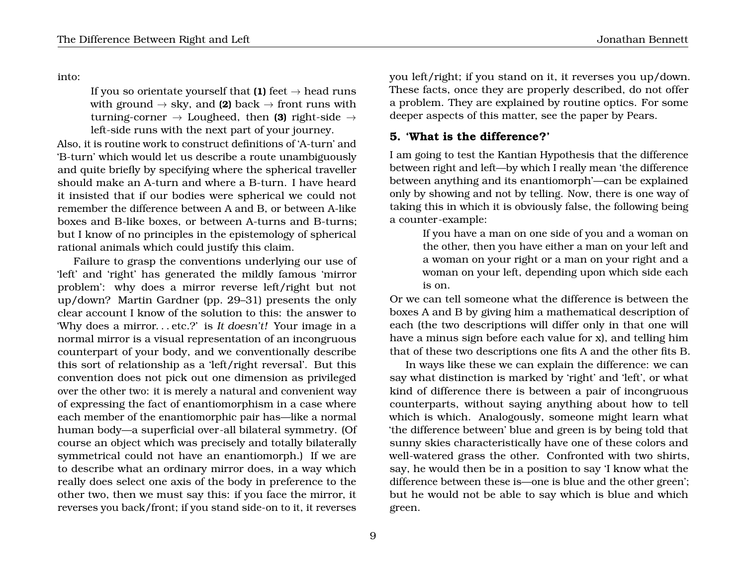into:

If you so orientate yourself that  $(1)$  feet  $\rightarrow$  head runs with ground  $\rightarrow$  sky, and **(2)** back  $\rightarrow$  front runs with turning-corner  $\rightarrow$  Lougheed, then **(3)** right-side  $\rightarrow$ left-side runs with the next part of your journey.

Also, it is routine work to construct definitions of 'A-turn' and 'B-turn' which would let us describe a route unambiguously and quite briefly by specifying where the spherical traveller should make an A-turn and where a B-turn. I have heard it insisted that if our bodies were spherical we could not remember the difference between A and B, or between A-like boxes and B-like boxes, or between A-turns and B-turns; but I know of no principles in the epistemology of spherical rational animals which could justify this claim.

Failure to grasp the conventions underlying our use of 'left' and 'right' has generated the mildly famous 'mirror problem': why does a mirror reverse left/right but not up/down? Martin Gardner (pp. 29–31) presents the only clear account I know of the solution to this: the answer to 'Why does a mirror. . . etc.?' is *It doesn't!* Your image in a normal mirror is a visual representation of an incongruous counterpart of your body, and we conventionally describe this sort of relationship as a 'left/right reversal'. But this convention does not pick out one dimension as privileged over the other two: it is merely a natural and convenient way of expressing the fact of enantiomorphism in a case where each member of the enantiomorphic pair has—like a normal human body—a superficial over-all bilateral symmetry. (Of course an object which was precisely and totally bilaterally symmetrical could not have an enantiomorph.) If we are to describe what an ordinary mirror does, in a way which really does select one axis of the body in preference to the other two, then we must say this: if you face the mirror, it reverses you back/front; if you stand side-on to it, it reverses

you left/right; if you stand on it, it reverses you up/down. These facts, once they are properly described, do not offer a problem. They are explained by routine optics. For some deeper aspects of this matter, see the paper by Pears.

# **5. 'What is the difference?'**

I am going to test the Kantian Hypothesis that the difference between right and left—by which I really mean 'the difference between anything and its enantiomorph'—can be explained only by showing and not by telling. Now, there is one way of taking this in which it is obviously false, the following being a counter-example:

> If you have a man on one side of you and a woman on the other, then you have either a man on your left and a woman on your right or a man on your right and a woman on your left, depending upon which side each is on.

Or we can tell someone what the difference is between the boxes A and B by giving him a mathematical description of each (the two descriptions will differ only in that one will have a minus sign before each value for x), and telling him that of these two descriptions one fits A and the other fits B.

In ways like these we can explain the difference: we can say what distinction is marked by 'right' and 'left', or what kind of difference there is between a pair of incongruous counterparts, without saying anything about how to tell which is which. Analogously, someone might learn what 'the difference between' blue and green is by being told that sunny skies characteristically have one of these colors and well-watered grass the other. Confronted with two shirts, say, he would then be in a position to say 'I know what the difference between these is—one is blue and the other green'; but he would not be able to say which is blue and which green.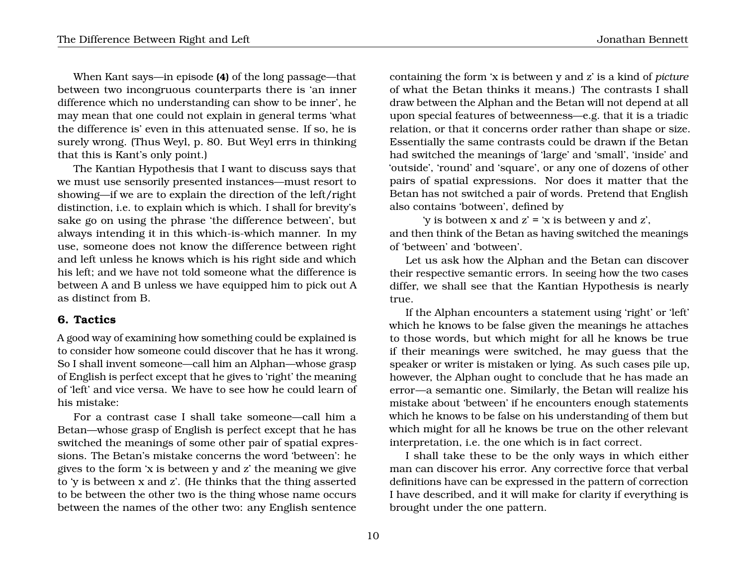When Kant says—in episode **(4)** of the long passage—that between two incongruous counterparts there is 'an inner difference which no understanding can show to be inner', he may mean that one could not explain in general terms 'what the difference is' even in this attenuated sense. If so, he is surely wrong. (Thus Weyl, p. 80. But Weyl errs in thinking that this is Kant's only point.)

The Kantian Hypothesis that I want to discuss says that we must use sensorily presented instances—must resort to showing—if we are to explain the direction of the left/right distinction, i.e. to explain which is which. I shall for brevity's sake go on using the phrase 'the difference between', but always intending it in this which-is-which manner. In my use, someone does not know the difference between right and left unless he knows which is his right side and which his left; and we have not told someone what the difference is between A and B unless we have equipped him to pick out A as distinct from B.

#### **6. Tactics**

A good way of examining how something could be explained is to consider how someone could discover that he has it wrong. So I shall invent someone—call him an Alphan—whose grasp of English is perfect except that he gives to 'right' the meaning of 'left' and vice versa. We have to see how he could learn of his mistake:

For a contrast case I shall take someone—call him a Betan—whose grasp of English is perfect except that he has switched the meanings of some other pair of spatial expressions. The Betan's mistake concerns the word 'between': he gives to the form 'x is between y and z' the meaning we give to 'y is between x and z'. (He thinks that the thing asserted to be between the other two is the thing whose name occurs between the names of the other two: any English sentence

containing the form 'x is between y and z' is a kind of *picture* of what the Betan thinks it means.) The contrasts I shall draw between the Alphan and the Betan will not depend at all upon special features of betweenness—e.g. that it is a triadic relation, or that it concerns order rather than shape or size. Essentially the same contrasts could be drawn if the Betan had switched the meanings of 'large' and 'small', 'inside' and 'outside', 'round' and 'square', or any one of dozens of other pairs of spatial expressions. Nor does it matter that the Betan has not switched a pair of words. Pretend that English also contains 'botween', defined by

'y is botween x and  $z' = x$  is between y and z', and then think of the Betan as having switched the meanings of 'between' and 'botween'.

Let us ask how the Alphan and the Betan can discover their respective semantic errors. In seeing how the two cases differ, we shall see that the Kantian Hypothesis is nearly true.

If the Alphan encounters a statement using 'right' or 'left' which he knows to be false given the meanings he attaches to those words, but which might for all he knows be true if their meanings were switched, he may guess that the speaker or writer is mistaken or lying. As such cases pile up, however, the Alphan ought to conclude that he has made an error—a semantic one. Similarly, the Betan will realize his mistake about 'between' if he encounters enough statements which he knows to be false on his understanding of them but which might for all he knows be true on the other relevant interpretation, i.e. the one which is in fact correct.

I shall take these to be the only ways in which either man can discover his error. Any corrective force that verbal definitions have can be expressed in the pattern of correction I have described, and it will make for clarity if everything is brought under the one pattern.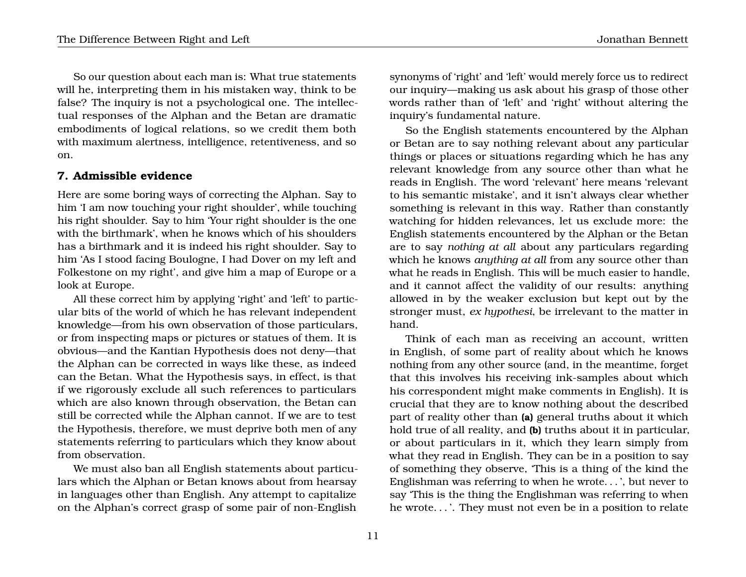So our question about each man is: What true statements will he, interpreting them in his mistaken way, think to be false? The inquiry is not a psychological one. The intellectual responses of the Alphan and the Betan are dramatic embodiments of logical relations, so we credit them both with maximum alertness, intelligence, retentiveness, and so on.

#### **7. Admissible evidence**

Here are some boring ways of correcting the Alphan. Say to him 'I am now touching your right shoulder', while touching his right shoulder. Say to him 'Your right shoulder is the one with the birthmark', when he knows which of his shoulders has a birthmark and it is indeed his right shoulder. Say to him 'As I stood facing Boulogne, I had Dover on my left and Folkestone on my right', and give him a map of Europe or a look at Europe.

All these correct him by applying 'right' and 'left' to particular bits of the world of which he has relevant independent knowledge—from his own observation of those particulars, or from inspecting maps or pictures or statues of them. It is obvious—and the Kantian Hypothesis does not deny—that the Alphan can be corrected in ways like these, as indeed can the Betan. What the Hypothesis says, in effect, is that if we rigorously exclude all such references to particulars which are also known through observation, the Betan can still be corrected while the Alphan cannot. If we are to test the Hypothesis, therefore, we must deprive both men of any statements referring to particulars which they know about from observation.

We must also ban all English statements about particulars which the Alphan or Betan knows about from hearsay in languages other than English. Any attempt to capitalize on the Alphan's correct grasp of some pair of non-English

synonyms of 'right' and 'left' would merely force us to redirect our inquiry—making us ask about his grasp of those other words rather than of 'left' and 'right' without altering the inquiry's fundamental nature.

So the English statements encountered by the Alphan or Betan are to say nothing relevant about any particular things or places or situations regarding which he has any relevant knowledge from any source other than what he reads in English. The word 'relevant' here means 'relevant to his semantic mistake', and it isn't always clear whether something is relevant in this way. Rather than constantly watching for hidden relevances, let us exclude more: the English statements encountered by the Alphan or the Betan are to say *nothing at all* about any particulars regarding which he knows *anything at all* from any source other than what he reads in English. This will be much easier to handle, and it cannot affect the validity of our results: anything allowed in by the weaker exclusion but kept out by the stronger must, *ex hypothesi*, be irrelevant to the matter in hand.

Think of each man as receiving an account, written in English, of some part of reality about which he knows nothing from any other source (and, in the meantime, forget that this involves his receiving ink-samples about which his correspondent might make comments in English). It is crucial that they are to know nothing about the described part of reality other than **(a)** general truths about it which hold true of all reality, and **(b)** truths about it in particular, or about particulars in it, which they learn simply from what they read in English. They can be in a position to say of something they observe, 'This is a thing of the kind the Englishman was referring to when he wrote. . . ', but never to say 'This is the thing the Englishman was referring to when he wrote...'. They must not even be in a position to relate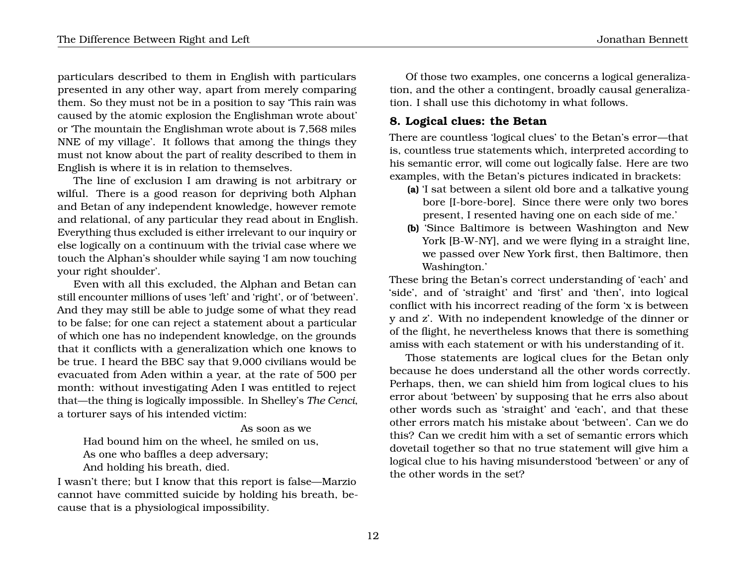particulars described to them in English with particulars presented in any other way, apart from merely comparing them. So they must not be in a position to say 'This rain was caused by the atomic explosion the Englishman wrote about' or 'The mountain the Englishman wrote about is 7,568 miles NNE of my village'. It follows that among the things they must not know about the part of reality described to them in English is where it is in relation to themselves.

The line of exclusion I am drawing is not arbitrary or wilful. There is a good reason for depriving both Alphan and Betan of any independent knowledge, however remote and relational, of any particular they read about in English. Everything thus excluded is either irrelevant to our inquiry or else logically on a continuum with the trivial case where we touch the Alphan's shoulder while saying 'I am now touching your right shoulder'.

Even with all this excluded, the Alphan and Betan can still encounter millions of uses 'left' and 'right', or of 'between'. And they may still be able to judge some of what they read to be false; for one can reject a statement about a particular of which one has no independent knowledge, on the grounds that it conflicts with a generalization which one knows to be true. I heard the BBC say that 9,000 civilians would be evacuated from Aden within a year, at the rate of 500 per month: without investigating Aden I was entitled to reject that—the thing is logically impossible. In Shelley's *The Cenci*, a torturer says of his intended victim:

As soon as we

Had bound him on the wheel, he smiled on us, As one who baffles a deep adversary; And holding his breath, died.

I wasn't there; but I know that this report is false—Marzio cannot have committed suicide by holding his breath, because that is a physiological impossibility.

Of those two examples, one concerns a logical generalization, and the other a contingent, broadly causal generalization. I shall use this dichotomy in what follows.

#### **8. Logical clues: the Betan**

There are countless 'logical clues' to the Betan's error—that is, countless true statements which, interpreted according to his semantic error, will come out logically false. Here are two examples, with the Betan's pictures indicated in brackets:

- **(a)** 'I sat between a silent old bore and a talkative young bore [I-bore-bore]. Since there were only two bores present, I resented having one on each side of me.'
- **(b)** 'Since Baltimore is between Washington and New York [B-W-NY], and we were flying in a straight line, we passed over New York first, then Baltimore, then Washington.'

These bring the Betan's correct understanding of 'each' and 'side', and of 'straight' and 'first' and 'then', into logical conflict with his incorrect reading of the form 'x is between y and z'. With no independent knowledge of the dinner or of the flight, he nevertheless knows that there is something amiss with each statement or with his understanding of it.

Those statements are logical clues for the Betan only because he does understand all the other words correctly. Perhaps, then, we can shield him from logical clues to his error about 'between' by supposing that he errs also about other words such as 'straight' and 'each', and that these other errors match his mistake about 'between'. Can we do this? Can we credit him with a set of semantic errors which dovetail together so that no true statement will give him a logical clue to his having misunderstood 'between' or any of the other words in the set?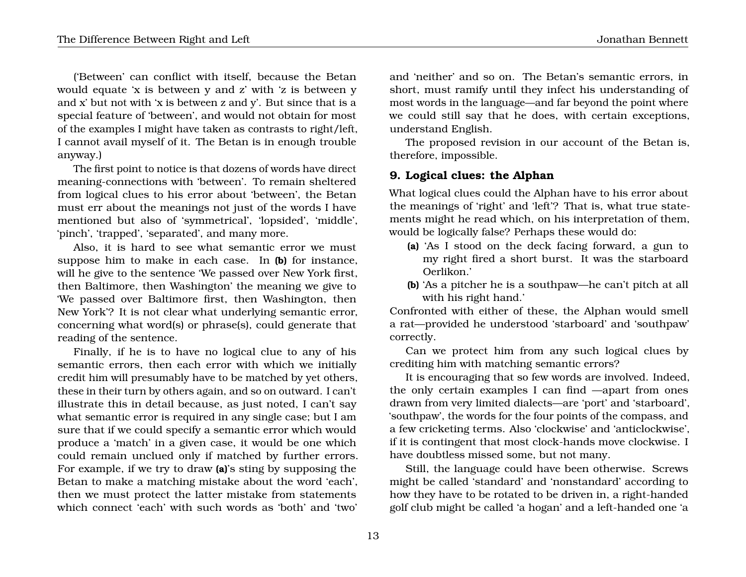('Between' can conflict with itself, because the Betan would equate 'x is between y and z' with 'z is between y and x' but not with 'x is between z and y'. But since that is a special feature of 'between', and would not obtain for most of the examples I might have taken as contrasts to right/left, I cannot avail myself of it. The Betan is in enough trouble anyway.)

The first point to notice is that dozens of words have direct meaning-connections with 'between'. To remain sheltered from logical clues to his error about 'between', the Betan must err about the meanings not just of the words I have mentioned but also of 'symmetrical', 'lopsided', 'middle', 'pinch', 'trapped', 'separated', and many more.

Also, it is hard to see what semantic error we must suppose him to make in each case. In **(b)** for instance, will he give to the sentence 'We passed over New York first, then Baltimore, then Washington' the meaning we give to 'We passed over Baltimore first, then Washington, then New York'? It is not clear what underlying semantic error, concerning what word(s) or phrase(s), could generate that reading of the sentence.

Finally, if he is to have no logical clue to any of his semantic errors, then each error with which we initially credit him will presumably have to be matched by yet others, these in their turn by others again, and so on outward. I can't illustrate this in detail because, as just noted, I can't say what semantic error is required in any single case; but I am sure that if we could specify a semantic error which would produce a 'match' in a given case, it would be one which could remain unclued only if matched by further errors. For example, if we try to draw **(a)**'s sting by supposing the Betan to make a matching mistake about the word 'each', then we must protect the latter mistake from statements which connect 'each' with such words as 'both' and 'two'

and 'neither' and so on. The Betan's semantic errors, in short, must ramify until they infect his understanding of most words in the language—and far beyond the point where we could still say that he does, with certain exceptions, understand English.

The proposed revision in our account of the Betan is, therefore, impossible.

#### **9. Logical clues: the Alphan**

What logical clues could the Alphan have to his error about the meanings of 'right' and 'left'? That is, what true statements might he read which, on his interpretation of them, would be logically false? Perhaps these would do:

- **(a)** 'As I stood on the deck facing forward, a gun to my right fired a short burst. It was the starboard Oerlikon.'
- **(b)** 'As a pitcher he is a southpaw—he can't pitch at all with his right hand.'

Confronted with either of these, the Alphan would smell a rat—provided he understood 'starboard' and 'southpaw' correctly.

Can we protect him from any such logical clues by crediting him with matching semantic errors?

It is encouraging that so few words are involved. Indeed, the only certain examples I can find —apart from ones drawn from very limited dialects—are 'port' and 'starboard', 'southpaw', the words for the four points of the compass, and a few cricketing terms. Also 'clockwise' and 'anticlockwise', if it is contingent that most clock-hands move clockwise. I have doubtless missed some, but not many.

Still, the language could have been otherwise. Screws might be called 'standard' and 'nonstandard' according to how they have to be rotated to be driven in, a right-handed golf club might be called 'a hogan' and a left-handed one 'a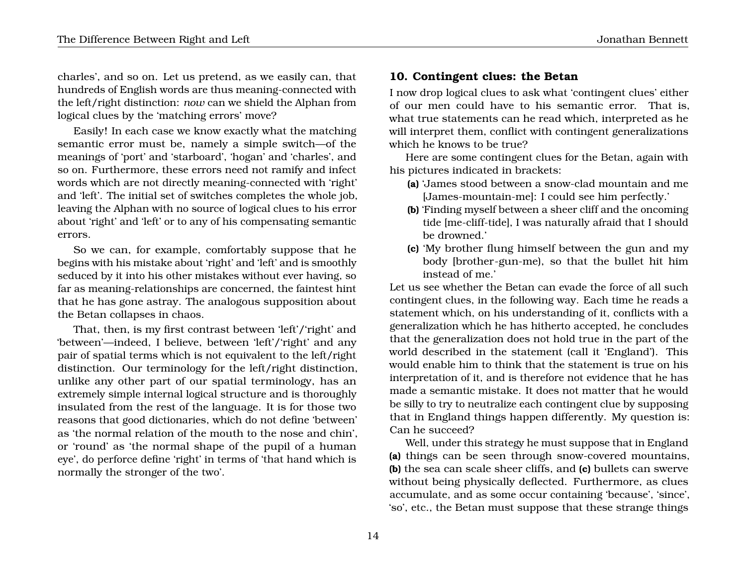charles', and so on. Let us pretend, as we easily can, that hundreds of English words are thus meaning-connected with the left/right distinction: *now* can we shield the Alphan from logical clues by the 'matching errors' move?

Easily! In each case we know exactly what the matching semantic error must be, namely a simple switch—of the meanings of 'port' and 'starboard', 'hogan' and 'charles', and so on. Furthermore, these errors need not ramify and infect words which are not directly meaning-connected with 'right' and 'left'. The initial set of switches completes the whole job, leaving the Alphan with no source of logical clues to his error about 'right' and 'left' or to any of his compensating semantic errors.

So we can, for example, comfortably suppose that he begins with his mistake about 'right' and 'left' and is smoothly seduced by it into his other mistakes without ever having, so far as meaning-relationships are concerned, the faintest hint that he has gone astray. The analogous supposition about the Betan collapses in chaos.

That, then, is my first contrast between 'left'/'right' and 'between'—indeed, I believe, between 'left'/'right' and any pair of spatial terms which is not equivalent to the left/right distinction. Our terminology for the left/right distinction, unlike any other part of our spatial terminology, has an extremely simple internal logical structure and is thoroughly insulated from the rest of the language. It is for those two reasons that good dictionaries, which do not define 'between' as 'the normal relation of the mouth to the nose and chin', or 'round' as 'the normal shape of the pupil of a human eye', do perforce define 'right' in terms of 'that hand which is normally the stronger of the two'.

#### **10. Contingent clues: the Betan**

I now drop logical clues to ask what 'contingent clues' either of our men could have to his semantic error. That is, what true statements can he read which, interpreted as he will interpret them, conflict with contingent generalizations which he knows to be true?

Here are some contingent clues for the Betan, again with his pictures indicated in brackets:

- **(a)** 'James stood between a snow-clad mountain and me [James-mountain-me]: I could see him perfectly.'
- **(b)** 'Finding myself between a sheer cliff and the oncoming tide [me-cliff-tide], I was naturally afraid that I should be drowned.'
- **(c)** 'My brother flung himself between the gun and my body [brother-gun-me), so that the bullet hit him instead of me.'

Let us see whether the Betan can evade the force of all such contingent clues, in the following way. Each time he reads a statement which, on his understanding of it, conflicts with a generalization which he has hitherto accepted, he concludes that the generalization does not hold true in the part of the world described in the statement (call it 'England'). This would enable him to think that the statement is true on his interpretation of it, and is therefore not evidence that he has made a semantic mistake. It does not matter that he would be silly to try to neutralize each contingent clue by supposing that in England things happen differently. My question is: Can he succeed?

Well, under this strategy he must suppose that in England **(a)** things can be seen through snow-covered mountains, **(b)** the sea can scale sheer cliffs, and **(c)** bullets can swerve without being physically deflected. Furthermore, as clues accumulate, and as some occur containing 'because', 'since', 'so', etc., the Betan must suppose that these strange things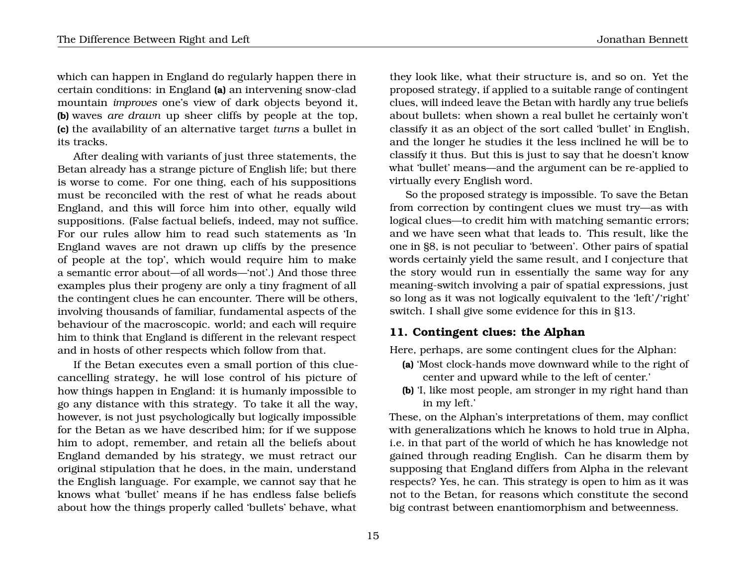which can happen in England do regularly happen there in certain conditions: in England **(a)** an intervening snow-clad mountain *improves* one's view of dark objects beyond it, **(b)** waves *are drawn* up sheer cliffs by people at the top, **(c)** the availability of an alternative target *turns* a bullet in its tracks.

After dealing with variants of just three statements, the Betan already has a strange picture of English life; but there is worse to come. For one thing, each of his suppositions must be reconciled with the rest of what he reads about England, and this will force him into other, equally wild suppositions. (False factual beliefs, indeed, may not suffice. For our rules allow him to read such statements as 'In England waves are not drawn up cliffs by the presence of people at the top', which would require him to make a semantic error about—of all words—'not'.) And those three examples plus their progeny are only a tiny fragment of all the contingent clues he can encounter. There will be others, involving thousands of familiar, fundamental aspects of the behaviour of the macroscopic. world; and each will require him to think that England is different in the relevant respect and in hosts of other respects which follow from that.

If the Betan executes even a small portion of this cluecancelling strategy, he will lose control of his picture of how things happen in England: it is humanly impossible to go any distance with this strategy. To take it all the way, however, is not just psychologically but logically impossible for the Betan as we have described him; for if we suppose him to adopt, remember, and retain all the beliefs about England demanded by his strategy, we must retract our original stipulation that he does, in the main, understand the English language. For example, we cannot say that he knows what 'bullet' means if he has endless false beliefs about how the things properly called 'bullets' behave, what

they look like, what their structure is, and so on. Yet the proposed strategy, if applied to a suitable range of contingent clues, will indeed leave the Betan with hardly any true beliefs about bullets: when shown a real bullet he certainly won't classify it as an object of the sort called 'bullet' in English, and the longer he studies it the less inclined he will be to classify it thus. But this is just to say that he doesn't know what 'bullet' means—and the argument can be re-applied to virtually every English word.

So the proposed strategy is impossible. To save the Betan from correction by contingent clues we must try—as with logical clues—to credit him with matching semantic errors; and we have seen what that leads to. This result, like the one in §8, is not peculiar to 'between'. Other pairs of spatial words certainly yield the same result, and I conjecture that the story would run in essentially the same way for any meaning-switch involving a pair of spatial expressions, just so long as it was not logically equivalent to the 'left'/'right' switch. I shall give some evidence for this in §13.

## **11. Contingent clues: the Alphan**

Here, perhaps, are some contingent clues for the Alphan:

- **(a)** 'Most clock-hands move downward while to the right of center and upward while to the left of center.'
- **(b)** 'I, like most people, am stronger in my right hand than in my left.'

These, on the Alphan's interpretations of them, may conflict with generalizations which he knows to hold true in Alpha, i.e. in that part of the world of which he has knowledge not gained through reading English. Can he disarm them by supposing that England differs from Alpha in the relevant respects? Yes, he can. This strategy is open to him as it was not to the Betan, for reasons which constitute the second big contrast between enantiomorphism and betweenness.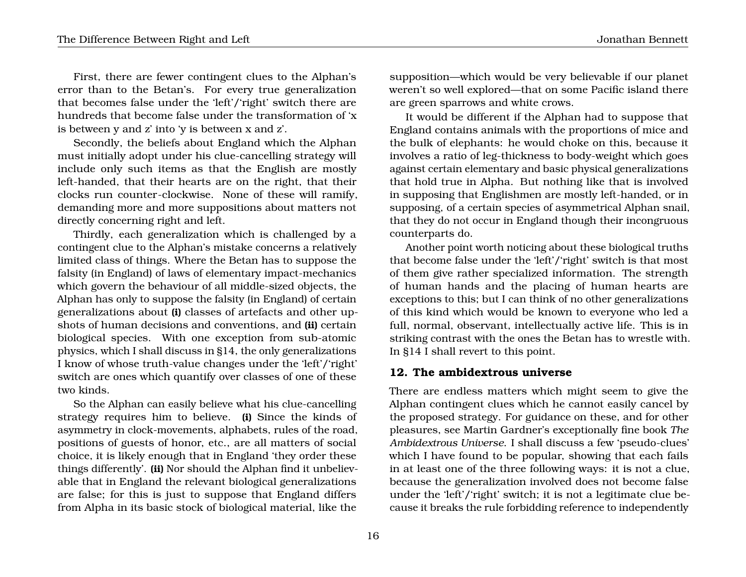First, there are fewer contingent clues to the Alphan's error than to the Betan's. For every true generalization that becomes false under the 'left'/'right' switch there are hundreds that become false under the transformation of 'x is between y and z' into 'y is between x and z'.

Secondly, the beliefs about England which the Alphan must initially adopt under his clue-cancelling strategy will include only such items as that the English are mostly left-handed, that their hearts are on the right, that their clocks run counter-clockwise. None of these will ramify, demanding more and more suppositions about matters not directly concerning right and left.

Thirdly, each generalization which is challenged by a contingent clue to the Alphan's mistake concerns a relatively limited class of things. Where the Betan has to suppose the falsity (in England) of laws of elementary impact-mechanics which govern the behaviour of all middle-sized objects, the Alphan has only to suppose the falsity (in England) of certain generalizations about **(i)** classes of artefacts and other upshots of human decisions and conventions, and **(ii)** certain biological species. With one exception from sub-atomic physics, which I shall discuss in §14, the only generalizations I know of whose truth-value changes under the 'left'/'right' switch are ones which quantify over classes of one of these two kinds.

So the Alphan can easily believe what his clue-cancelling strategy requires him to believe. **(i)** Since the kinds of asymmetry in clock-movements, alphabets, rules of the road, positions of guests of honor, etc., are all matters of social choice, it is likely enough that in England 'they order these things differently'. **(ii)** Nor should the Alphan find it unbelievable that in England the relevant biological generalizations are false; for this is just to suppose that England differs from Alpha in its basic stock of biological material, like the

supposition—which would be very believable if our planet weren't so well explored—that on some Pacific island there are green sparrows and white crows.

It would be different if the Alphan had to suppose that England contains animals with the proportions of mice and the bulk of elephants: he would choke on this, because it involves a ratio of leg-thickness to body-weight which goes against certain elementary and basic physical generalizations that hold true in Alpha. But nothing like that is involved in supposing that Englishmen are mostly left-handed, or in supposing, of a certain species of asymmetrical Alphan snail, that they do not occur in England though their incongruous counterparts do.

Another point worth noticing about these biological truths that become false under the 'left'/'right' switch is that most of them give rather specialized information. The strength of human hands and the placing of human hearts are exceptions to this; but I can think of no other generalizations of this kind which would be known to everyone who led a full, normal, observant, intellectually active life. This is in striking contrast with the ones the Betan has to wrestle with. In §14 I shall revert to this point.

#### **12. The ambidextrous universe**

There are endless matters which might seem to give the Alphan contingent clues which he cannot easily cancel by the proposed strategy. For guidance on these, and for other pleasures, see Martin Gardner's exceptionally fine book *The Ambidextrous Universe*. I shall discuss a few 'pseudo-clues' which I have found to be popular, showing that each fails in at least one of the three following ways: it is not a clue, because the generalization involved does not become false under the 'left'/'right' switch; it is not a legitimate clue because it breaks the rule forbidding reference to independently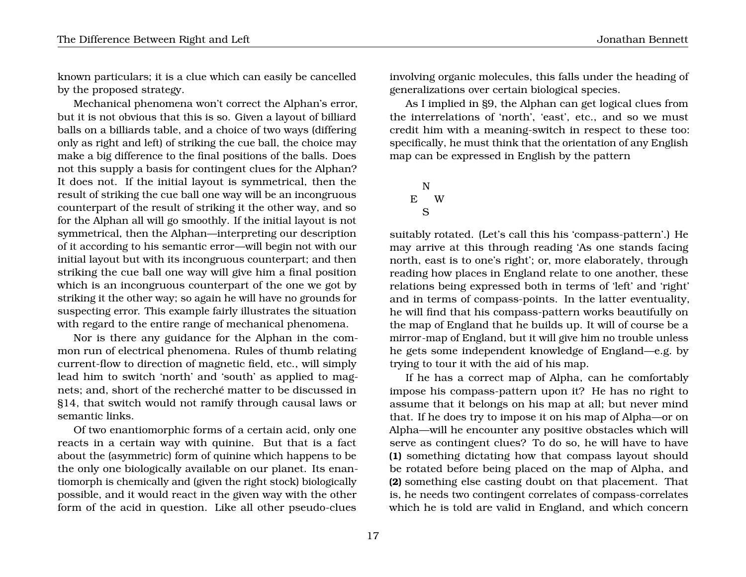known particulars; it is a clue which can easily be cancelled by the proposed strategy.

Mechanical phenomena won't correct the Alphan's error, but it is not obvious that this is so. Given a layout of billiard balls on a billiards table, and a choice of two ways (differing only as right and left) of striking the cue ball, the choice may make a big difference to the final positions of the balls. Does not this supply a basis for contingent clues for the Alphan? It does not. If the initial layout is symmetrical, then the result of striking the cue ball one way will be an incongruous counterpart of the result of striking it the other way, and so for the Alphan all will go smoothly. If the initial layout is not symmetrical, then the Alphan—interpreting our description of it according to his semantic error—will begin not with our initial layout but with its incongruous counterpart; and then striking the cue ball one way will give him a final position which is an incongruous counterpart of the one we got by striking it the other way; so again he will have no grounds for suspecting error. This example fairly illustrates the situation with regard to the entire range of mechanical phenomena.

Nor is there any guidance for the Alphan in the common run of electrical phenomena. Rules of thumb relating current-flow to direction of magnetic field, etc., will simply lead him to switch 'north' and 'south' as applied to magnets; and, short of the recherché matter to be discussed in §14, that switch would not ramify through causal laws or semantic links.

Of two enantiomorphic forms of a certain acid, only one reacts in a certain way with quinine. But that is a fact about the (asymmetric) form of quinine which happens to be the only one biologically available on our planet. Its enantiomorph is chemically and (given the right stock) biologically possible, and it would react in the given way with the other form of the acid in question. Like all other pseudo-clues

involving organic molecules, this falls under the heading of generalizations over certain biological species.

As I implied in §9, the Alphan can get logical clues from the interrelations of 'north', 'east', etc., and so we must credit him with a meaning-switch in respect to these too: specifically, he must think that the orientation of any English map can be expressed in English by the pattern

N E W S

suitably rotated. (Let's call this his 'compass-pattern'.) He may arrive at this through reading 'As one stands facing north, east is to one's right'; or, more elaborately, through reading how places in England relate to one another, these relations being expressed both in terms of 'left' and 'right' and in terms of compass-points. In the latter eventuality, he will find that his compass-pattern works beautifully on the map of England that he builds up. It will of course be a mirror-map of England, but it will give him no trouble unless he gets some independent knowledge of England—e.g. by trying to tour it with the aid of his map.

If he has a correct map of Alpha, can he comfortably impose his compass-pattern upon it? He has no right to assume that it belongs on his map at all; but never mind that. If he does try to impose it on his map of Alpha—or on Alpha—will he encounter any positive obstacles which will serve as contingent clues? To do so, he will have to have **(1)** something dictating how that compass layout should be rotated before being placed on the map of Alpha, and **(2)** something else casting doubt on that placement. That is, he needs two contingent correlates of compass-correlates which he is told are valid in England, and which concern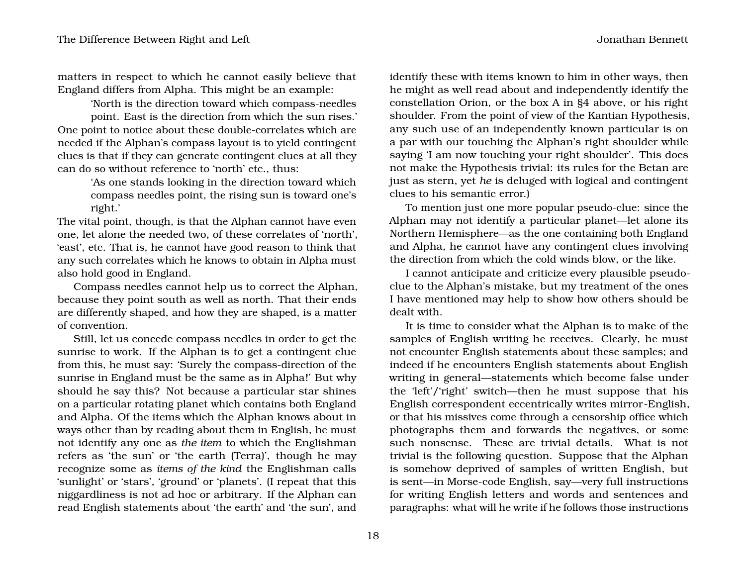matters in respect to which he cannot easily believe that England differs from Alpha. This might be an example:

'North is the direction toward which compass-needles

point. East is the direction from which the sun rises.' One point to notice about these double-correlates which are needed if the Alphan's compass layout is to yield contingent clues is that if they can generate contingent clues at all they can do so without reference to 'north' etc., thus:

> 'As one stands looking in the direction toward which compass needles point, the rising sun is toward one's right.'

The vital point, though, is that the Alphan cannot have even one, let alone the needed two, of these correlates of 'north', 'east', etc. That is, he cannot have good reason to think that any such correlates which he knows to obtain in Alpha must also hold good in England.

Compass needles cannot help us to correct the Alphan, because they point south as well as north. That their ends are differently shaped, and how they are shaped, is a matter of convention.

Still, let us concede compass needles in order to get the sunrise to work. If the Alphan is to get a contingent clue from this, he must say: 'Surely the compass-direction of the sunrise in England must be the same as in Alpha!' But why should he say this? Not because a particular star shines on a particular rotating planet which contains both England and Alpha. Of the items which the Alphan knows about in ways other than by reading about them in English, he must not identify any one as *the item* to which the Englishman refers as 'the sun' or 'the earth (Terra)', though he may recognize some as *items of the kind* the Englishman calls 'sunlight' or 'stars', 'ground' or 'planets'. (I repeat that this niggardliness is not ad hoc or arbitrary. If the Alphan can read English statements about 'the earth' and 'the sun', and

identify these with items known to him in other ways, then he might as well read about and independently identify the constellation Orion, or the box A in §4 above, or his right shoulder. From the point of view of the Kantian Hypothesis, any such use of an independently known particular is on a par with our touching the Alphan's right shoulder while saying 'I am now touching your right shoulder'. This does not make the Hypothesis trivial: its rules for the Betan are just as stern, yet *he* is deluged with logical and contingent clues to his semantic error.)

To mention just one more popular pseudo-clue: since the Alphan may not identify a particular planet—let alone its Northern Hemisphere—as the one containing both England and Alpha, he cannot have any contingent clues involving the direction from which the cold winds blow, or the like.

I cannot anticipate and criticize every plausible pseudoclue to the Alphan's mistake, but my treatment of the ones I have mentioned may help to show how others should be dealt with.

It is time to consider what the Alphan is to make of the samples of English writing he receives. Clearly, he must not encounter English statements about these samples; and indeed if he encounters English statements about English writing in general—statements which become false under the 'left'/'right' switch—then he must suppose that his English correspondent eccentrically writes mirror-English, or that his missives come through a censorship office which photographs them and forwards the negatives, or some such nonsense. These are trivial details. What is not trivial is the following question. Suppose that the Alphan is somehow deprived of samples of written English, but is sent—in Morse-code English, say—very full instructions for writing English letters and words and sentences and paragraphs: what will he write if he follows those instructions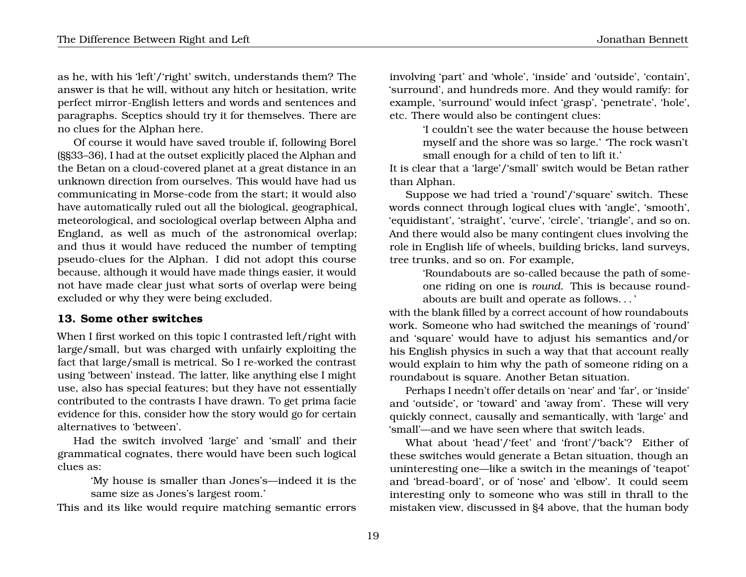as he, with his 'left'/'right' switch, understands them? The answer is that he will, without any hitch or hesitation, write perfect mirror-English letters and words and sentences and paragraphs. Sceptics should try it for themselves. There are no clues for the Alphan here.

Of course it would have saved trouble if, following Borel (§§33–36), I had at the outset explicitly placed the Alphan and the Betan on a cloud-covered planet at a great distance in an unknown direction from ourselves. This would have had us communicating in Morse-code from the start; it would also have automatically ruled out all the biological, geographical, meteorological, and sociological overlap between Alpha and England, as well as much of the astronomical overlap; and thus it would have reduced the number of tempting pseudo-clues for the Alphan. I did not adopt this course because, although it would have made things easier, it would not have made clear just what sorts of overlap were being excluded or why they were being excluded.

#### **13. Some other switches**

When I first worked on this topic I contrasted left/right with large/small, but was charged with unfairly exploiting the fact that large/small is metrical. So I re-worked the contrast using 'between' instead. The latter, like anything else I might use, also has special features; but they have not essentially contributed to the contrasts I have drawn. To get prima facie evidence for this, consider how the story would go for certain alternatives to 'between'.

Had the switch involved 'large' and 'small' and their grammatical cognates, there would have been such logical clues as:

> 'My house is smaller than Jones's—indeed it is the same size as Jones's largest room.'

This and its like would require matching semantic errors

involving 'part' and 'whole', 'inside' and 'outside', 'contain', 'surround', and hundreds more. And they would ramify: for example, 'surround' would infect 'grasp', 'penetrate', 'hole', etc. There would also be contingent clues:

> 'I couldn't see the water because the house between myself and the shore was so large.' 'The rock wasn't small enough for a child of ten to lift it.'

It is clear that a 'large'/'small' switch would be Betan rather than Alphan.

Suppose we had tried a 'round'/'square' switch. These words connect through logical clues with 'angle', 'smooth', 'equidistant', 'straight', 'curve', 'circle', 'triangle', and so on. And there would also be many contingent clues involving the role in English life of wheels, building bricks, land surveys, tree trunks, and so on. For example,

> 'Roundabouts are so-called because the path of someone riding on one is *round*. This is because roundabouts are built and operate as follows. . . '

with the blank filled by a correct account of how roundabouts work. Someone who had switched the meanings of 'round' and 'square' would have to adjust his semantics and/or his English physics in such a way that that account really would explain to him why the path of someone riding on a roundabout is square. Another Betan situation.

Perhaps I needn't offer details on 'near' and 'far', or 'inside' and 'outside', or 'toward' and 'away from'. These will very quickly connect, causally and semantically, with 'large' and 'small'—and we have seen where that switch leads.

What about 'head'/'feet' and 'front'/'back'? Either of these switches would generate a Betan situation, though an uninteresting one—like a switch in the meanings of 'teapot' and 'bread-board', or of 'nose' and 'elbow'. It could seem interesting only to someone who was still in thrall to the mistaken view, discussed in §4 above, that the human body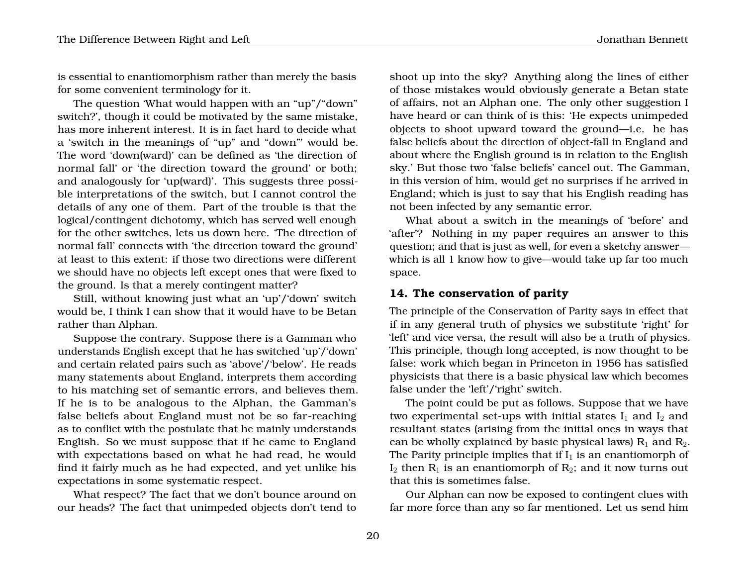is essential to enantiomorphism rather than merely the basis for some convenient terminology for it.

The question 'What would happen with an "up"/"down" switch?', though it could be motivated by the same mistake, has more inherent interest. It is in fact hard to decide what a 'switch in the meanings of "up" and "down"' would be. The word 'down(ward)' can be defined as 'the direction of normal fall' or 'the direction toward the ground' or both; and analogously for 'up(ward)'. This suggests three possible interpretations of the switch, but I cannot control the details of any one of them. Part of the trouble is that the logical/contingent dichotomy, which has served well enough for the other switches, lets us down here. 'The direction of normal fall' connects with 'the direction toward the ground' at least to this extent: if those two directions were different we should have no objects left except ones that were fixed to the ground. Is that a merely contingent matter?

Still, without knowing just what an 'up'/'down' switch would be, I think I can show that it would have to be Betan rather than Alphan.

Suppose the contrary. Suppose there is a Gamman who understands English except that he has switched 'up'/'down' and certain related pairs such as 'above'/'below'. He reads many statements about England, interprets them according to his matching set of semantic errors, and believes them. If he is to be analogous to the Alphan, the Gamman's false beliefs about England must not be so far-reaching as to conflict with the postulate that he mainly understands English. So we must suppose that if he came to England with expectations based on what he had read, he would find it fairly much as he had expected, and yet unlike his expectations in some systematic respect.

What respect? The fact that we don't bounce around on our heads? The fact that unimpeded objects don't tend to

shoot up into the sky? Anything along the lines of either of those mistakes would obviously generate a Betan state of affairs, not an Alphan one. The only other suggestion I have heard or can think of is this: 'He expects unimpeded objects to shoot upward toward the ground—i.e. he has false beliefs about the direction of object-fall in England and about where the English ground is in relation to the English sky.' But those two 'false beliefs' cancel out. The Gamman, in this version of him, would get no surprises if he arrived in England; which is just to say that his English reading has not been infected by any semantic error.

What about a switch in the meanings of 'before' and 'after'? Nothing in my paper requires an answer to this question; and that is just as well, for even a sketchy answer which is all 1 know how to give—would take up far too much space.

#### **14. The conservation of parity**

The principle of the Conservation of Parity says in effect that if in any general truth of physics we substitute 'right' for 'left' and vice versa, the result will also be a truth of physics. This principle, though long accepted, is now thought to be false: work which began in Princeton in 1956 has satisfied physicists that there is a basic physical law which becomes false under the 'left'/'right' switch.

The point could be put as follows. Suppose that we have two experimental set-ups with initial states  $I_1$  and  $I_2$  and resultant states (arising from the initial ones in ways that can be wholly explained by basic physical laws)  $R_1$  and  $R_2$ . The Parity principle implies that if  $I_1$  is an enantiomorph of  $I_2$  then  $R_1$  is an enantiomorph of  $R_2$ ; and it now turns out that this is sometimes false.

Our Alphan can now be exposed to contingent clues with far more force than any so far mentioned. Let us send him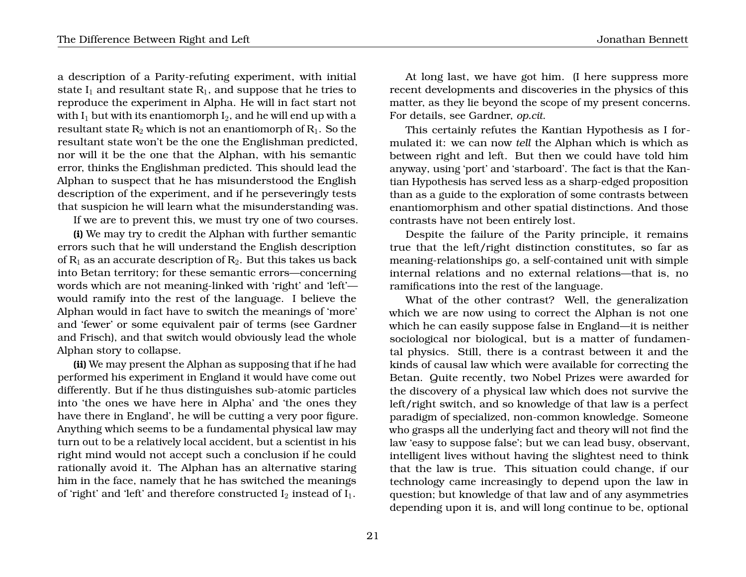a description of a Parity-refuting experiment, with initial state  $I_1$  and resultant state  $R_1$ , and suppose that he tries to reproduce the experiment in Alpha. He will in fact start not with  $I_1$  but with its enantiomorph  $I_2$ , and he will end up with a resultant state  $R_2$  which is not an enantiomorph of  $R_1$ . So the resultant state won't be the one the Englishman predicted, nor will it be the one that the Alphan, with his semantic error, thinks the Englishman predicted. This should lead the Alphan to suspect that he has misunderstood the English description of the experiment, and if he perseveringly tests that suspicion he will learn what the misunderstanding was.

If we are to prevent this, we must try one of two courses.

**(i)** We may try to credit the Alphan with further semantic errors such that he will understand the English description of  $R_1$  as an accurate description of  $R_2$ . But this takes us back into Betan territory; for these semantic errors—concerning words which are not meaning-linked with 'right' and 'left' would ramify into the rest of the language. I believe the Alphan would in fact have to switch the meanings of 'more' and 'fewer' or some equivalent pair of terms (see Gardner and Frisch), and that switch would obviously lead the whole Alphan story to collapse.

**(ii)** We may present the Alphan as supposing that if he had performed his experiment in England it would have come out differently. But if he thus distinguishes sub-atomic particles into 'the ones we have here in Alpha' and 'the ones they have there in England', he will be cutting a very poor figure. Anything which seems to be a fundamental physical law may turn out to be a relatively local accident, but a scientist in his right mind would not accept such a conclusion if he could rationally avoid it. The Alphan has an alternative staring him in the face, namely that he has switched the meanings of 'right' and 'left' and therefore constructed  $I_2$  instead of  $I_1$ .

At long last, we have got him. (I here suppress more recent developments and discoveries in the physics of this matter, as they lie beyond the scope of my present concerns. For details, see Gardner, *op.cit*.

This certainly refutes the Kantian Hypothesis as I formulated it: we can now *tell* the Alphan which is which as between right and left. But then we could have told him anyway, using 'port' and 'starboard'. The fact is that the Kantian Hypothesis has served less as a sharp-edged proposition than as a guide to the exploration of some contrasts between enantiomorphism and other spatial distinctions. And those contrasts have not been entirely lost.

Despite the failure of the Parity principle, it remains true that the left/right distinction constitutes, so far as meaning-relationships go, a self-contained unit with simple internal relations and no external relations—that is, no ramifications into the rest of the language.

What of the other contrast? Well, the generalization which we are now using to correct the Alphan is not one which he can easily suppose false in England—it is neither sociological nor biological, but is a matter of fundamental physics. Still, there is a contrast between it and the kinds of causal law which were available for correcting the Betan. Quite recently, two Nobel Prizes were awarded for the discovery of a physical law which does not survive the left/right switch, and so knowledge of that law is a perfect paradigm of specialized, non-common knowledge. Someone who grasps all the underlying fact and theory will not find the law 'easy to suppose false'; but we can lead busy, observant, intelligent lives without having the slightest need to think that the law is true. This situation could change, if our technology came increasingly to depend upon the law in question; but knowledge of that law and of any asymmetries depending upon it is, and will long continue to be, optional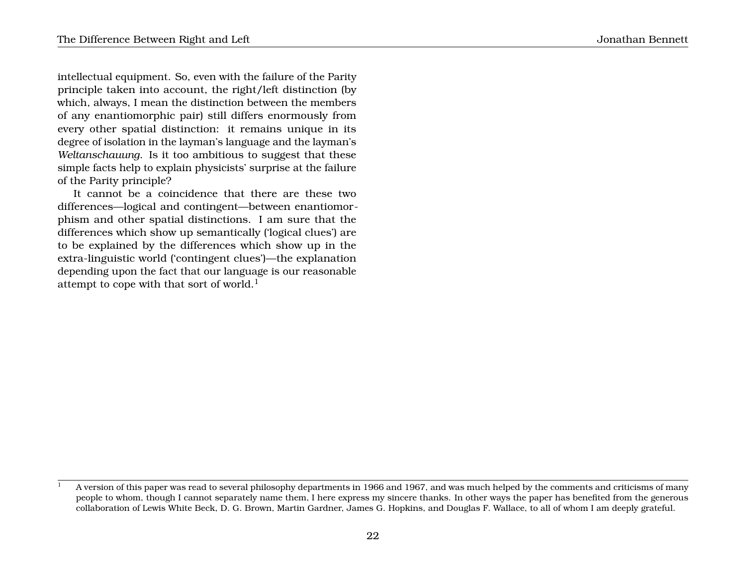intellectual equipment. So, even with the failure of the Parity principle taken into account, the right/left distinction (by which, always, I mean the distinction between the members of any enantiomorphic pair) still differs enormously from every other spatial distinction: it remains unique in its degree of isolation in the layman's language and the layman's *Weltanschauung*. Is it too ambitious to suggest that these simple facts help to explain physicists' surprise at the failure of the Parity principle?

It cannot be a coincidence that there are these two differences—logical and contingent—between enantiomorphism and other spatial distinctions. I am sure that the differences which show up semantically ('logical clues') are to be explained by the differences which show up in the extra-linguistic world ('contingent clues')—the explanation depending upon the fact that our language is our reasonable attempt to cope with that sort of world.<sup>1</sup>

 $1$  A version of this paper was read to several philosophy departments in 1966 and 1967, and was much helped by the comments and criticisms of many people to whom, though I cannot separately name them, I here express my sincere thanks. In other ways the paper has benefited from the generous collaboration of Lewis White Beck, D. G. Brown, Martin Gardner, James G. Hopkins, and Douglas F. Wallace, to all of whom I am deeply grateful.